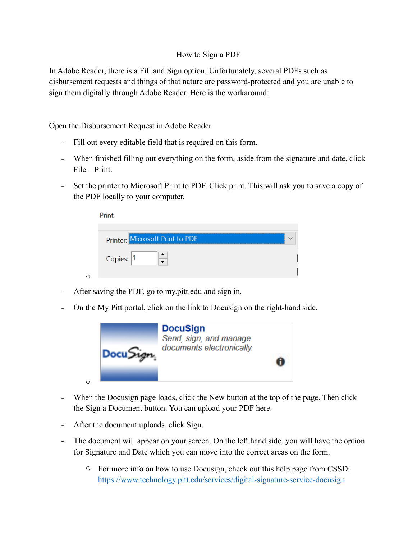## How to Sign a PDF

In Adobe Reader, there is a Fill and Sign option. Unfortunately, several PDFs such as disbursement requests and things of that nature are password-protected and you are unable to sign them digitally through Adobe Reader. Here is the workaround:

Open the Disbursement Request in Adobe Reader

- Fill out every editable field that is required on this form.
- When finished filling out everything on the form, aside from the signature and date, click File – Print.
- Set the printer to Microsoft Print to PDF. Click print. This will ask you to save a copy of the PDF locally to your computer.

|   | Print                           |  |
|---|---------------------------------|--|
|   | Printer: Microsoft Print to PDF |  |
|   | Copies: 1                       |  |
| ◯ |                                 |  |

- After saving the PDF, go to my.pitt.edu and sign in.
- On the My Pitt portal, click on the link to Docusign on the right-hand side.



- When the Docusign page loads, click the New button at the top of the page. Then click the Sign a Document button. You can upload your PDF here.
- After the document uploads, click Sign.
- The document will appear on your screen. On the left hand side, you will have the option for Signature and Date which you can move into the correct areas on the form.
	- o For more info on how to use Docusign, check out this help page from CSSD: <https://www.technology.pitt.edu/services/digital-signature-service-docusign>